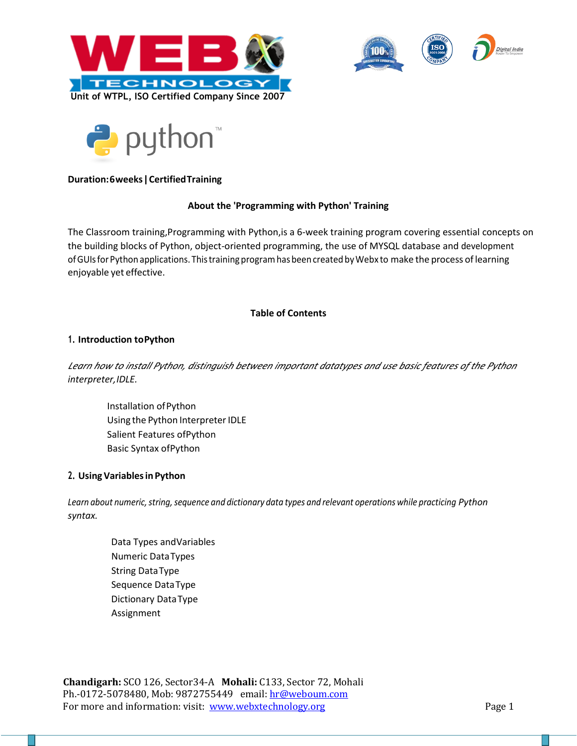





# **Duration:6weeks|CertifiedTraining**

### **About the 'Programming with Python' Training**

the building blocks of Python, object-oriented programming, the use of MYSQL database and development ofGUIsforPython applications. Thistraining programhas beencreated byWebx to make the process oflearning enjoyable yet effective. The Classroom training,Programming with Python,is a 6-week training program covering essential concepts on

## **Table of Contents**

### **1. Introduction toPython**

*interpreter,IDLE. Learn how to install Python, distinguish between important datatypes and use basic features of the Python* 

Installation ofPython Using the Python Interpreter IDLE Salient Features ofPython Basic Syntax ofPython

## **2. UsingVariablesin Python**

*Learn about numeric,string,sequence and dictionary data types and relevant operations while practicing Python syntax.*

> Data Types andVariables Numeric DataTypes String DataType Sequence DataType Dictionary DataType Assignment

**Chandigarh:** SCO 126, Sector34-A **Mohali:** C133, Sector 72, Mohali Ph.-0172-5078480, Mob: 9872755449 email: hr@weboum.com For more and information: visit: [www.webxtechnology.org](http://www.webxtechnology.org/) Page 1